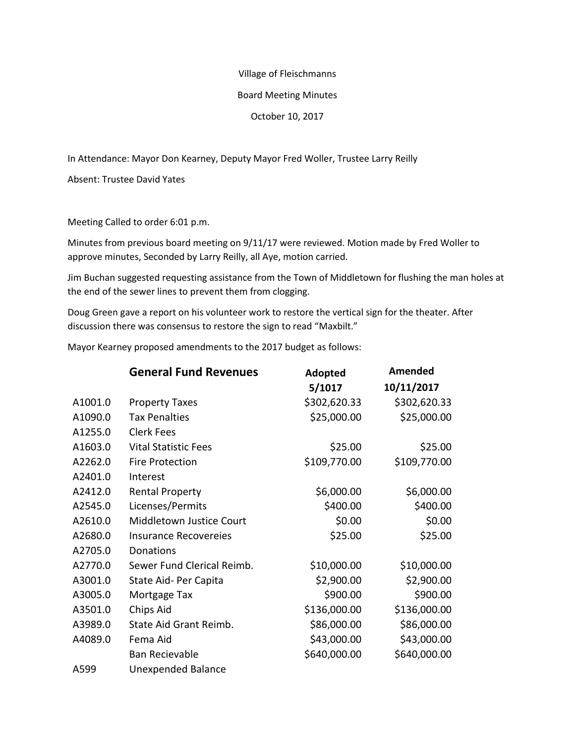#### Village of Fleischmanns

### Board Meeting Minutes

### October 10, 2017

In Attendance: Mayor Don Kearney, Deputy Mayor Fred Woller, Trustee Larry Reilly

Absent: Trustee David Yates

Meeting Called to order 6:01 p.m.

Minutes from previous board meeting on 9/11/17 were reviewed. Motion made by Fred Woller to approve minutes, Seconded by Larry Reilly, all Aye, motion carried.

Jim Buchan suggested requesting assistance from the Town of Middletown for flushing the man holes at the end of the sewer lines to prevent them from clogging.

Doug Green gave a report on his volunteer work to restore the vertical sign for the theater. After discussion there was consensus to restore the sign to read "Maxbilt."

Mayor Kearney proposed amendments to the 2017 budget as follows:

|         | <b>General Fund Revenues</b> | Adopted      | Amended      |
|---------|------------------------------|--------------|--------------|
|         |                              | 5/1017       | 10/11/2017   |
| A1001.0 | <b>Property Taxes</b>        | \$302,620.33 | \$302,620.33 |
| A1090.0 | <b>Tax Penalties</b>         | \$25,000.00  | \$25,000.00  |
| A1255.0 | <b>Clerk Fees</b>            |              |              |
| A1603.0 | <b>Vital Statistic Fees</b>  | \$25.00      | \$25.00      |
| A2262.0 | Fire Protection              | \$109,770.00 | \$109,770.00 |
| A2401.0 | Interest                     |              |              |
| A2412.0 | <b>Rental Property</b>       | \$6,000.00   | \$6,000.00   |
| A2545.0 | Licenses/Permits             | \$400.00     | \$400.00     |
| A2610.0 | Middletown Justice Court     | \$0.00       | \$0.00       |
| A2680.0 | <b>Insurance Recovereies</b> | \$25.00      | \$25.00      |
| A2705.0 | Donations                    |              |              |
| A2770.0 | Sewer Fund Clerical Reimb.   | \$10,000.00  | \$10,000.00  |
| A3001.0 | State Aid- Per Capita        | \$2,900.00   | \$2,900.00   |
| A3005.0 | Mortgage Tax                 | \$900.00     | \$900.00     |
| A3501.0 | Chips Aid                    | \$136,000.00 | \$136,000.00 |
| A3989.0 | State Aid Grant Reimb.       | \$86,000.00  | \$86,000.00  |
| A4089.0 | Fema Aid                     | \$43,000.00  | \$43,000.00  |
|         | <b>Ban Recievable</b>        | \$640,000.00 | \$640,000.00 |
| A599    | <b>Unexpended Balance</b>    |              |              |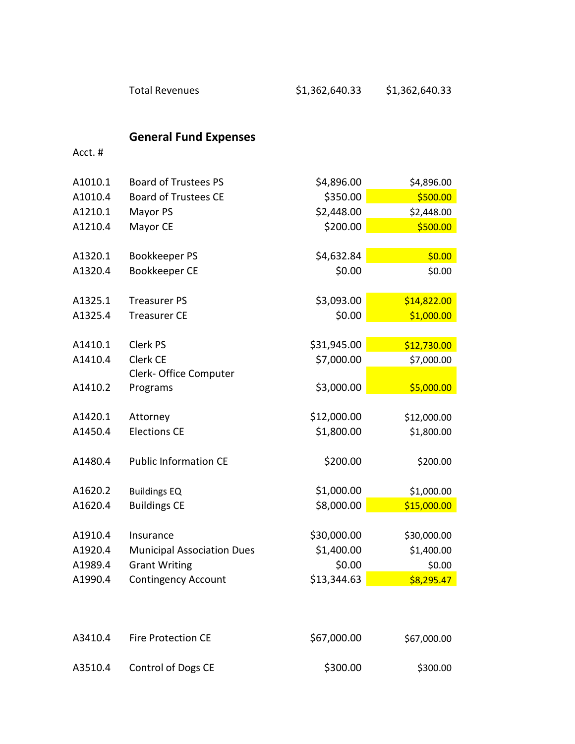# **General Fund Expenses**

Acct. #

| A1010.1 | <b>Board of Trustees PS</b>       | \$4,896.00  | \$4,896.00  |
|---------|-----------------------------------|-------------|-------------|
| A1010.4 | <b>Board of Trustees CE</b>       | \$350.00    | \$500.00    |
| A1210.1 | Mayor PS                          | \$2,448.00  | \$2,448.00  |
| A1210.4 | Mayor CE                          | \$200.00    | \$500.00    |
|         |                                   |             |             |
| A1320.1 | Bookkeeper PS                     | \$4,632.84  | \$0.00      |
| A1320.4 | <b>Bookkeeper CE</b>              | \$0.00      | \$0.00      |
|         |                                   |             |             |
| A1325.1 | <b>Treasurer PS</b>               | \$3,093.00  | \$14,822.00 |
| A1325.4 | <b>Treasurer CE</b>               | \$0.00      | \$1,000.00  |
|         |                                   |             |             |
| A1410.1 | Clerk PS                          | \$31,945.00 | \$12,730.00 |
| A1410.4 | Clerk CE                          | \$7,000.00  | \$7,000.00  |
|         | Clerk- Office Computer            |             |             |
| A1410.2 | Programs                          | \$3,000.00  | \$5,000.00  |
|         |                                   |             |             |
| A1420.1 | Attorney                          | \$12,000.00 | \$12,000.00 |
| A1450.4 | <b>Elections CE</b>               | \$1,800.00  | \$1,800.00  |
|         |                                   |             |             |
| A1480.4 | <b>Public Information CE</b>      | \$200.00    | \$200.00    |
|         |                                   |             |             |
| A1620.2 | <b>Buildings EQ</b>               | \$1,000.00  | \$1,000.00  |
| A1620.4 | <b>Buildings CE</b>               | \$8,000.00  | \$15,000.00 |
|         |                                   |             |             |
| A1910.4 | Insurance                         | \$30,000.00 | \$30,000.00 |
| A1920.4 | <b>Municipal Association Dues</b> | \$1,400.00  | \$1,400.00  |
| A1989.4 | <b>Grant Writing</b>              | \$0.00      | \$0.00      |
| A1990.4 | <b>Contingency Account</b>        | \$13,344.63 | \$8,295.47  |

| A3410.4 | <b>Fire Protection CE</b> | \$67,000.00 | \$67,000.00 |
|---------|---------------------------|-------------|-------------|
| A3510.4 | Control of Dogs CE        | \$300.00    | \$300.00    |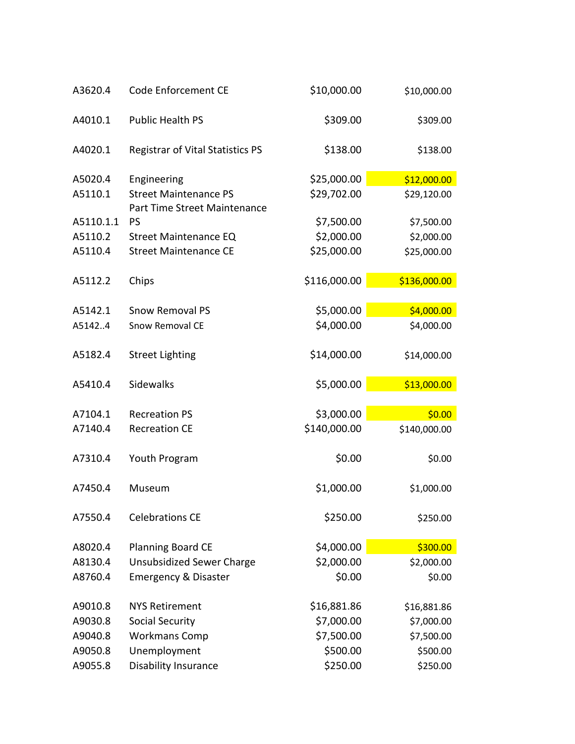| \$309.00<br>A4010.1<br><b>Public Health PS</b><br>\$309.00<br>\$138.00<br>A4020.1<br><b>Registrar of Vital Statistics PS</b><br>\$138.00<br>\$25,000.00<br>A5020.4<br>\$12,000.00<br>Engineering<br><b>Street Maintenance PS</b><br>\$29,702.00<br>A5110.1<br>\$29,120.00<br>Part Time Street Maintenance<br>A5110.1.1<br>PS<br>\$7,500.00<br>\$7,500.00<br>\$2,000.00<br>A5110.2<br>\$2,000.00<br><b>Street Maintenance EQ</b><br>\$25,000.00<br>A5110.4<br><b>Street Maintenance CE</b><br>\$25,000.00<br>\$116,000.00<br>Chips<br>\$136,000.00<br>A5112.2<br>\$5,000.00<br>\$4,000.00<br>A5142.1<br><b>Snow Removal PS</b><br>\$4,000.00<br>\$4,000.00<br>A51424<br><b>Snow Removal CE</b><br>\$14,000.00<br>A5182.4<br><b>Street Lighting</b><br>\$14,000.00<br>\$5,000.00<br>\$13,000.00<br>A5410.4<br>Sidewalks<br>\$3,000.00<br>\$0.00<br>A7104.1<br><b>Recreation PS</b><br>\$140,000.00<br><b>Recreation CE</b><br>\$140,000.00<br>A7140.4<br>\$0.00<br>A7310.4<br>Youth Program<br>\$0.00<br>\$1,000.00<br>\$1,000.00<br>A7450.4<br>Museum<br><b>Celebrations CE</b><br>\$250.00<br>A7550.4<br>\$250.00<br>\$4,000.00<br>\$300.00<br>A8020.4<br><b>Planning Board CE</b><br>\$2,000.00<br>A8130.4<br><b>Unsubsidized Sewer Charge</b><br>\$2,000.00<br>\$0.00<br>\$0.00<br>A8760.4<br><b>Emergency &amp; Disaster</b><br>\$16,881.86<br>A9010.8<br><b>NYS Retirement</b><br>\$16,881.86<br>A9030.8<br><b>Social Security</b><br>\$7,000.00<br>\$7,000.00<br><b>Workmans Comp</b><br>\$7,500.00<br>A9040.8<br>\$7,500.00<br>Unemployment<br>\$500.00<br>A9050.8<br>\$500.00<br>\$250.00<br>A9055.8<br>Disability Insurance<br>\$250.00 | A3620.4 | Code Enforcement CE | \$10,000.00 | \$10,000.00 |
|-------------------------------------------------------------------------------------------------------------------------------------------------------------------------------------------------------------------------------------------------------------------------------------------------------------------------------------------------------------------------------------------------------------------------------------------------------------------------------------------------------------------------------------------------------------------------------------------------------------------------------------------------------------------------------------------------------------------------------------------------------------------------------------------------------------------------------------------------------------------------------------------------------------------------------------------------------------------------------------------------------------------------------------------------------------------------------------------------------------------------------------------------------------------------------------------------------------------------------------------------------------------------------------------------------------------------------------------------------------------------------------------------------------------------------------------------------------------------------------------------------------------------------------------------------------------------------------------------------------------------------------------------|---------|---------------------|-------------|-------------|
|                                                                                                                                                                                                                                                                                                                                                                                                                                                                                                                                                                                                                                                                                                                                                                                                                                                                                                                                                                                                                                                                                                                                                                                                                                                                                                                                                                                                                                                                                                                                                                                                                                                 |         |                     |             |             |
|                                                                                                                                                                                                                                                                                                                                                                                                                                                                                                                                                                                                                                                                                                                                                                                                                                                                                                                                                                                                                                                                                                                                                                                                                                                                                                                                                                                                                                                                                                                                                                                                                                                 |         |                     |             |             |
|                                                                                                                                                                                                                                                                                                                                                                                                                                                                                                                                                                                                                                                                                                                                                                                                                                                                                                                                                                                                                                                                                                                                                                                                                                                                                                                                                                                                                                                                                                                                                                                                                                                 |         |                     |             |             |
|                                                                                                                                                                                                                                                                                                                                                                                                                                                                                                                                                                                                                                                                                                                                                                                                                                                                                                                                                                                                                                                                                                                                                                                                                                                                                                                                                                                                                                                                                                                                                                                                                                                 |         |                     |             |             |
|                                                                                                                                                                                                                                                                                                                                                                                                                                                                                                                                                                                                                                                                                                                                                                                                                                                                                                                                                                                                                                                                                                                                                                                                                                                                                                                                                                                                                                                                                                                                                                                                                                                 |         |                     |             |             |
|                                                                                                                                                                                                                                                                                                                                                                                                                                                                                                                                                                                                                                                                                                                                                                                                                                                                                                                                                                                                                                                                                                                                                                                                                                                                                                                                                                                                                                                                                                                                                                                                                                                 |         |                     |             |             |
|                                                                                                                                                                                                                                                                                                                                                                                                                                                                                                                                                                                                                                                                                                                                                                                                                                                                                                                                                                                                                                                                                                                                                                                                                                                                                                                                                                                                                                                                                                                                                                                                                                                 |         |                     |             |             |
|                                                                                                                                                                                                                                                                                                                                                                                                                                                                                                                                                                                                                                                                                                                                                                                                                                                                                                                                                                                                                                                                                                                                                                                                                                                                                                                                                                                                                                                                                                                                                                                                                                                 |         |                     |             |             |
|                                                                                                                                                                                                                                                                                                                                                                                                                                                                                                                                                                                                                                                                                                                                                                                                                                                                                                                                                                                                                                                                                                                                                                                                                                                                                                                                                                                                                                                                                                                                                                                                                                                 |         |                     |             |             |
|                                                                                                                                                                                                                                                                                                                                                                                                                                                                                                                                                                                                                                                                                                                                                                                                                                                                                                                                                                                                                                                                                                                                                                                                                                                                                                                                                                                                                                                                                                                                                                                                                                                 |         |                     |             |             |
|                                                                                                                                                                                                                                                                                                                                                                                                                                                                                                                                                                                                                                                                                                                                                                                                                                                                                                                                                                                                                                                                                                                                                                                                                                                                                                                                                                                                                                                                                                                                                                                                                                                 |         |                     |             |             |
|                                                                                                                                                                                                                                                                                                                                                                                                                                                                                                                                                                                                                                                                                                                                                                                                                                                                                                                                                                                                                                                                                                                                                                                                                                                                                                                                                                                                                                                                                                                                                                                                                                                 |         |                     |             |             |
|                                                                                                                                                                                                                                                                                                                                                                                                                                                                                                                                                                                                                                                                                                                                                                                                                                                                                                                                                                                                                                                                                                                                                                                                                                                                                                                                                                                                                                                                                                                                                                                                                                                 |         |                     |             |             |
|                                                                                                                                                                                                                                                                                                                                                                                                                                                                                                                                                                                                                                                                                                                                                                                                                                                                                                                                                                                                                                                                                                                                                                                                                                                                                                                                                                                                                                                                                                                                                                                                                                                 |         |                     |             |             |
|                                                                                                                                                                                                                                                                                                                                                                                                                                                                                                                                                                                                                                                                                                                                                                                                                                                                                                                                                                                                                                                                                                                                                                                                                                                                                                                                                                                                                                                                                                                                                                                                                                                 |         |                     |             |             |
|                                                                                                                                                                                                                                                                                                                                                                                                                                                                                                                                                                                                                                                                                                                                                                                                                                                                                                                                                                                                                                                                                                                                                                                                                                                                                                                                                                                                                                                                                                                                                                                                                                                 |         |                     |             |             |
|                                                                                                                                                                                                                                                                                                                                                                                                                                                                                                                                                                                                                                                                                                                                                                                                                                                                                                                                                                                                                                                                                                                                                                                                                                                                                                                                                                                                                                                                                                                                                                                                                                                 |         |                     |             |             |
|                                                                                                                                                                                                                                                                                                                                                                                                                                                                                                                                                                                                                                                                                                                                                                                                                                                                                                                                                                                                                                                                                                                                                                                                                                                                                                                                                                                                                                                                                                                                                                                                                                                 |         |                     |             |             |
|                                                                                                                                                                                                                                                                                                                                                                                                                                                                                                                                                                                                                                                                                                                                                                                                                                                                                                                                                                                                                                                                                                                                                                                                                                                                                                                                                                                                                                                                                                                                                                                                                                                 |         |                     |             |             |
|                                                                                                                                                                                                                                                                                                                                                                                                                                                                                                                                                                                                                                                                                                                                                                                                                                                                                                                                                                                                                                                                                                                                                                                                                                                                                                                                                                                                                                                                                                                                                                                                                                                 |         |                     |             |             |
|                                                                                                                                                                                                                                                                                                                                                                                                                                                                                                                                                                                                                                                                                                                                                                                                                                                                                                                                                                                                                                                                                                                                                                                                                                                                                                                                                                                                                                                                                                                                                                                                                                                 |         |                     |             |             |
|                                                                                                                                                                                                                                                                                                                                                                                                                                                                                                                                                                                                                                                                                                                                                                                                                                                                                                                                                                                                                                                                                                                                                                                                                                                                                                                                                                                                                                                                                                                                                                                                                                                 |         |                     |             |             |
|                                                                                                                                                                                                                                                                                                                                                                                                                                                                                                                                                                                                                                                                                                                                                                                                                                                                                                                                                                                                                                                                                                                                                                                                                                                                                                                                                                                                                                                                                                                                                                                                                                                 |         |                     |             |             |
|                                                                                                                                                                                                                                                                                                                                                                                                                                                                                                                                                                                                                                                                                                                                                                                                                                                                                                                                                                                                                                                                                                                                                                                                                                                                                                                                                                                                                                                                                                                                                                                                                                                 |         |                     |             |             |
|                                                                                                                                                                                                                                                                                                                                                                                                                                                                                                                                                                                                                                                                                                                                                                                                                                                                                                                                                                                                                                                                                                                                                                                                                                                                                                                                                                                                                                                                                                                                                                                                                                                 |         |                     |             |             |
|                                                                                                                                                                                                                                                                                                                                                                                                                                                                                                                                                                                                                                                                                                                                                                                                                                                                                                                                                                                                                                                                                                                                                                                                                                                                                                                                                                                                                                                                                                                                                                                                                                                 |         |                     |             |             |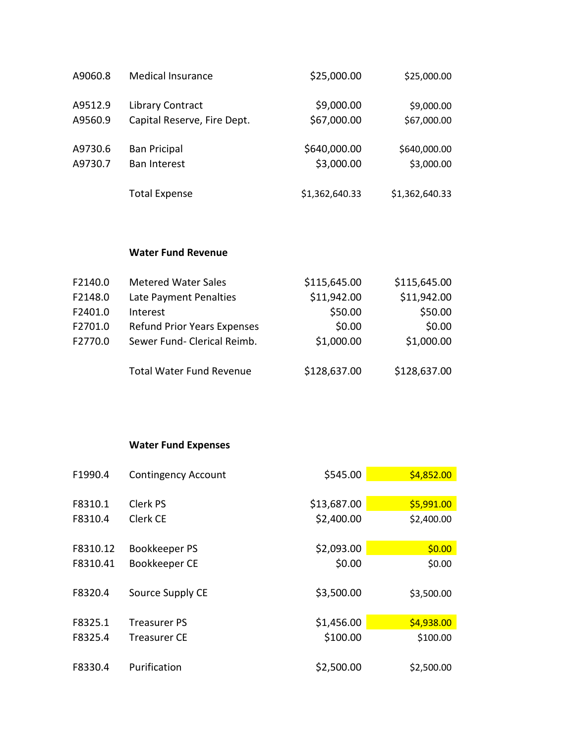| A9060.8 | <b>Medical Insurance</b>    | \$25,000.00    | \$25,000.00    |
|---------|-----------------------------|----------------|----------------|
| A9512.9 | Library Contract            | \$9,000.00     | \$9,000.00     |
| A9560.9 | Capital Reserve, Fire Dept. | \$67,000.00    | \$67,000.00    |
| A9730.6 | <b>Ban Pricipal</b>         | \$640,000.00   | \$640,000.00   |
| A9730.7 | <b>Ban Interest</b>         | \$3,000.00     | \$3,000.00     |
|         | <b>Total Expense</b>        | \$1,362,640.33 | \$1,362,640.33 |

## **Water Fund Revenue**

| F2140.0 | <b>Metered Water Sales</b>         | \$115,645.00 | \$115,645.00 |
|---------|------------------------------------|--------------|--------------|
| F2148.0 | Late Payment Penalties             | \$11,942.00  | \$11,942.00  |
| F2401.0 | Interest                           | \$50.00      | \$50.00      |
| F2701.0 | <b>Refund Prior Years Expenses</b> | \$0.00       | \$0.00       |
| F2770.0 | Sewer Fund- Clerical Reimb.        | \$1,000.00   | \$1,000.00   |
|         | <b>Total Water Fund Revenue</b>    | \$128,637.00 | \$128,637.00 |

## **Water Fund Expenses**

| F1990.4  | <b>Contingency Account</b> | \$545.00    | \$4,852.00 |
|----------|----------------------------|-------------|------------|
|          |                            |             |            |
| F8310.1  | Clerk PS                   | \$13,687.00 | \$5,991.00 |
| F8310.4  | Clerk CE                   | \$2,400.00  | \$2,400.00 |
|          |                            |             |            |
| F8310.12 | Bookkeeper PS              | \$2,093.00  | \$0.00     |
| F8310.41 | Bookkeeper CE              | \$0.00      | \$0.00     |
|          |                            |             |            |
| F8320.4  | Source Supply CE           | \$3,500.00  | \$3,500.00 |
|          |                            |             |            |
| F8325.1  | Treasurer PS               | \$1,456.00  | \$4,938.00 |
| F8325.4  | Treasurer CE               | \$100.00    | \$100.00   |
|          |                            |             |            |
| F8330.4  | Purification               | \$2,500.00  | \$2,500.00 |

Ċ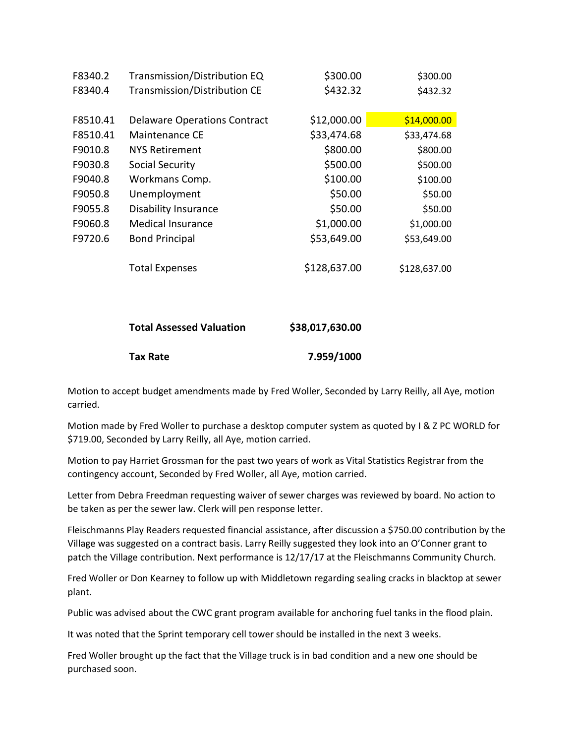| F8340.2  | Transmission/Distribution EQ        | \$300.00     | \$300.00     |
|----------|-------------------------------------|--------------|--------------|
| F8340.4  | Transmission/Distribution CE        | \$432.32     | \$432.32     |
|          |                                     |              |              |
| F8510.41 | <b>Delaware Operations Contract</b> | \$12,000.00  | \$14,000.00  |
| F8510.41 | Maintenance CE                      | \$33,474.68  | \$33,474.68  |
| F9010.8  | <b>NYS Retirement</b>               | \$800.00     | \$800.00     |
| F9030.8  | Social Security                     | \$500.00     | \$500.00     |
| F9040.8  | Workmans Comp.                      | \$100.00     | \$100.00     |
| F9050.8  | Unemployment                        | \$50.00      | \$50.00      |
| F9055.8  | <b>Disability Insurance</b>         | \$50.00      | \$50.00      |
| F9060.8  | <b>Medical Insurance</b>            | \$1,000.00   | \$1,000.00   |
| F9720.6  | <b>Bond Principal</b>               | \$53,649.00  | \$53,649.00  |
|          |                                     |              |              |
|          | <b>Total Expenses</b>               | \$128,637.00 | \$128,637.00 |

| <b>Total Assessed Valuation</b> | \$38,017,630.00 |
|---------------------------------|-----------------|
| Tax Rate                        | 7.959/1000      |

Motion to accept budget amendments made by Fred Woller, Seconded by Larry Reilly, all Aye, motion carried.

Motion made by Fred Woller to purchase a desktop computer system as quoted by I & Z PC WORLD for \$719.00, Seconded by Larry Reilly, all Aye, motion carried.

Motion to pay Harriet Grossman for the past two years of work as Vital Statistics Registrar from the contingency account, Seconded by Fred Woller, all Aye, motion carried.

Letter from Debra Freedman requesting waiver of sewer charges was reviewed by board. No action to be taken as per the sewer law. Clerk will pen response letter.

Fleischmanns Play Readers requested financial assistance, after discussion a \$750.00 contribution by the Village was suggested on a contract basis. Larry Reilly suggested they look into an O'Conner grant to patch the Village contribution. Next performance is 12/17/17 at the Fleischmanns Community Church.

Fred Woller or Don Kearney to follow up with Middletown regarding sealing cracks in blacktop at sewer plant.

Public was advised about the CWC grant program available for anchoring fuel tanks in the flood plain.

It was noted that the Sprint temporary cell tower should be installed in the next 3 weeks.

Fred Woller brought up the fact that the Village truck is in bad condition and a new one should be purchased soon.